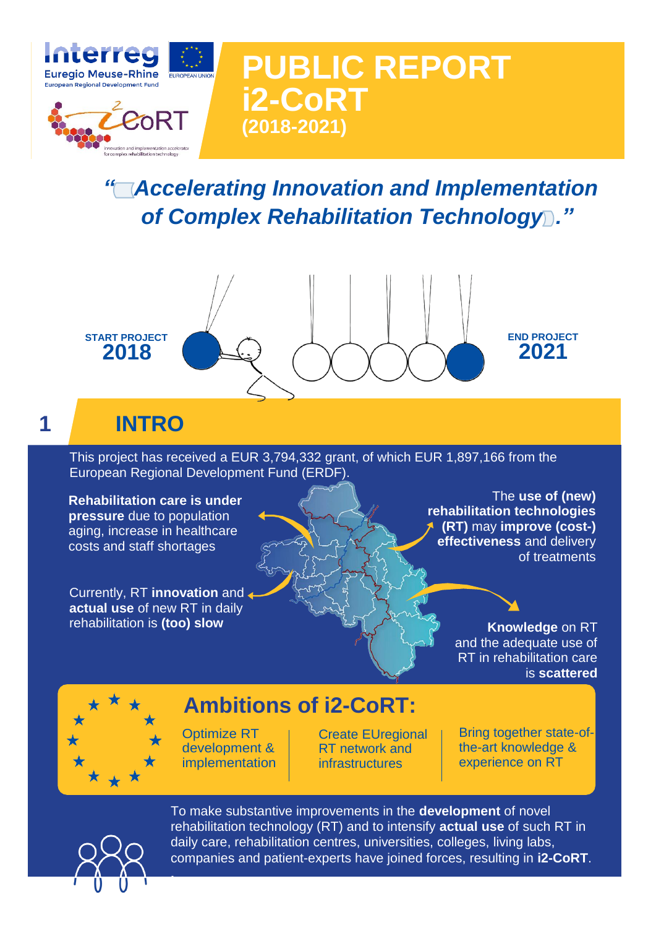

*" Accelerating Innovation and Implementation*  of Complex Rehabilitation Technology<sup>2</sup>."

**PUBLIC REPORT**



**i2-CoRT**

**(2018-2021)**

# **1 INTRO**

This project has received a EUR 3,794,332 grant, of which EUR 1,897,166 from the European Regional Development Fund (ERDF).

**Rehabilitation care is under pressure** due to population aging, increase in healthcare costs and staff shortages

Currently, RT **innovation** and **actual use** of new RT in daily rehabilitation is **(too) slow Knowledge** on RT

The **use of (new) rehabilitation technologies (RT)** may **improve (cost-) effectiveness** and delivery of treatments

> and the adequate use of RT in rehabilitation care is **scattered**



## **Ambitions of i2-CoRT:**

Optimize RT development & implementation Create EUregional RT network and infrastructures

Bring together state-ofthe-art knowledge & experience on RT



**.**

To make substantive improvements in the **development** of novel rehabilitation technology (RT) and to intensify **actual use** of such RT in daily care, rehabilitation centres, universities, colleges, living labs, companies and patient-experts have joined forces, resulting in **i2-CoRT**.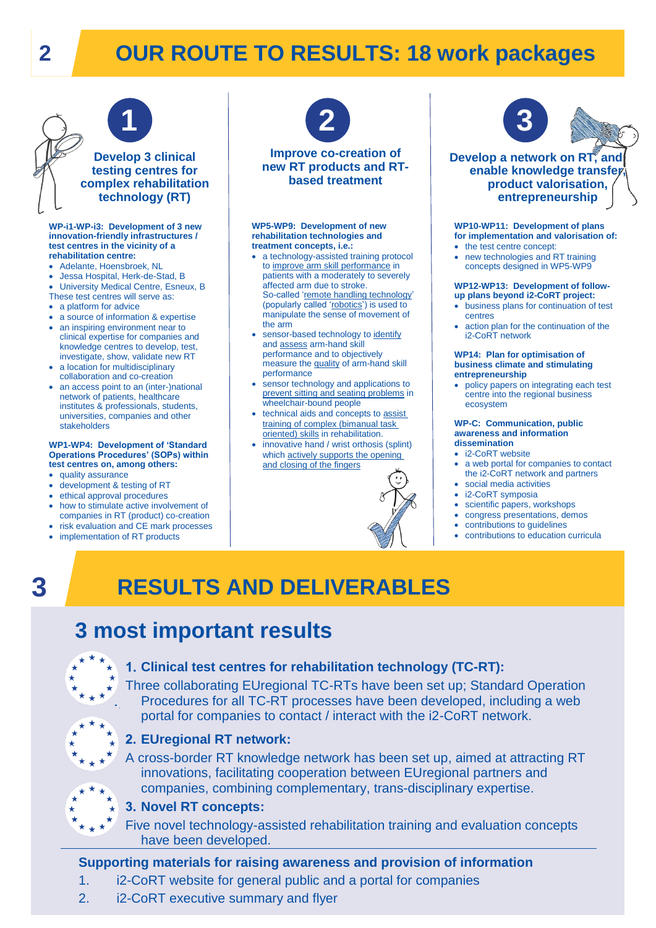# **2 OUR ROUTE TO RESULTS: 18 work packages**



# **Develop 3 clinical testing centres for complex rehabilitation technology (RT)**

#### **WP-i1-WP-i3: Development of 3 new innovation-friendly infrastructures / test centres in the vicinity of a rehabilitation centre:**

- Adelante, Hoensbroek, NL
- Jessa Hospital, Herk-de-Stad, B
- University Medical Centre, Esneux, B These test centres will serve as:
- a platform for advice
- a source of information & expertise
- an inspiring environment near to clinical expertise for companies and knowledge centres to develop, test, investigate, show, validate new RT
- a location for multidisciplinary collaboration and co-creation
- an access point to an (inter-)national network of patients, healthcare institutes & professionals, students, universities, companies and other stakeholders

#### **WP1-WP4: Development of 'Standard Operations Procedures' (SOPs) within test centres on, among others:**

- quality assurance
- development & testing of RT
- ethical approval procedures how to stimulate active involvement of
- companies in RT (product) co-creation risk evaluation and CE mark processes
- implementation of RT products



### **Improve co-creation of new RT products and RTbased treatment**

#### **WP5-WP9: Development of new rehabilitation technologies and treatment concepts, i.e.:**

- a technology-assisted training protocol to improve arm skill performance in patients with a moderately to severely affected arm due to stroke. So-called 'remote handling technology' (popularly called 'robotics') is used to manipulate the sense of movement of the arm
- sensor-based technology to identify and assess arm-hand skill performance and to objectively measure the quality of arm-hand skill performance
- sensor technology and applications to prevent sitting and seating problems in wheelchair-bound people
- technical aids and concepts to assist training of complex (bimanual task oriented) skills in rehabilitation.
- innovative hand / wrist orthosis (splint) which actively supports the opening and closing of the fingers



### **Develop a network on RT, and enable** knowledge transfe **product valorisation, entrepreneurship**

#### **WP10-WP11: Development of plans for implementation and valorisation of:**

- the test centre concept:
- new technologies and RT training concepts designed in WP5-WP9

#### **WP12-WP13: Development of followup plans beyond i2-CoRT project:**

- business plans for continuation of test centres
- action plan for the continuation of the i2-CoRT network

#### **WP14: Plan for optimisation of business climate and stimulating entrepreneurship**

 policy papers on integrating each test centre into the regional business ecosystem

#### **WP-C: Communication, public awareness and information dissemination**

- i2-CoRT website
- a web portal for companies to contact the i2-CoRT network and partners
- social media activities
- i2-CoRT symposia
- scientific papers, workshops
- congress presentations, demos
- contributions to guidelines
- contributions to education curricula

# **RESULTS AND DELIVERABLES**

## **3 most important results**



**3**

# **<sup>\*</sup>\*\*\*</sup>\*** 1. Clinical test centres for rehabilitation technology (TC-RT):

Three collaborating EUregional TC-RTs have been set up; Standard Operation Procedures for all TC-RT processes have been developed, including a web portal for companies to contact / interact with the i2-CoRT network.



### **EUregional RT network:**

A cross-border RT knowledge network has been set up, aimed at attracting RT innovations, facilitating cooperation between EUregional partners and companies, combining complementary, trans-disciplinary expertise.



### **Novel RT concepts:**

Five novel technology-assisted rehabilitation training and evaluation concepts have been developed.

## **Supporting materials for raising awareness and provision of information**

- 1. i2-CoRT website for general public and a portal for companies
- 2. i2-CoRT executive summary and flyer